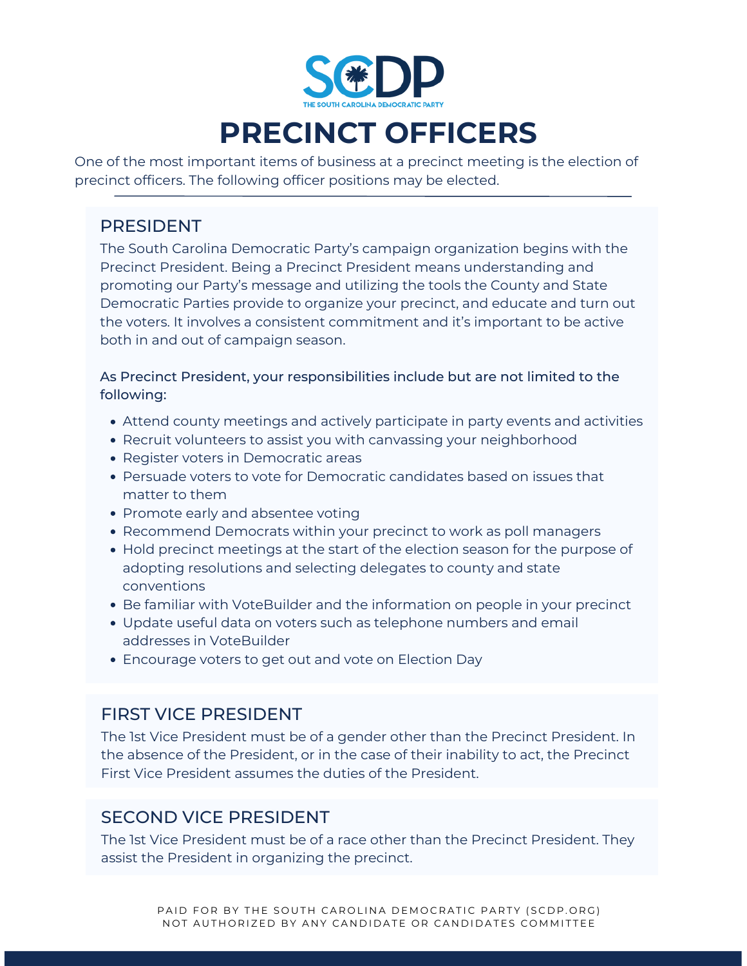

# **PRECINCT OFFICERS**

One of the most important items of business at a precinct meeting is the election of precinct officers. The following officer positions may be elected.

### PRESIDENT

The South Carolina Democratic Party's campaign organization begins with the Precinct President. Being a Precinct President means understanding and promoting our Party's message and utilizing the tools the County and State Democratic Parties provide to organize your precinct, and educate and turn out the voters. It involves a consistent commitment and it's important to be active both in and out of campaign season.

As Precinct President, your responsibilities include but are not limited to the following:

- Attend county meetings and actively participate in party events and activities
- Recruit volunteers to assist you with canvassing your neighborhood
- Register voters in Democratic areas
- Persuade voters to vote for Democratic candidates based on issues that matter to them
- Promote early and absentee voting
- Recommend Democrats within your precinct to work as poll managers
- Hold precinct meetings at the start of the election season for the purpose of adopting resolutions and selecting delegates to county and state conventions
- **Be familiar with VoteBuilder and the information on people in your precinct**
- Update useful data on voters such as telephone numbers and email addresses in VoteBuilder
- Encourage voters to get out and vote on Election Day

## FIRST VICE PRESIDENT

The 1st Vice President must be of a gender other than the Precinct President. In the absence of the President, or in the case of their inability to act, the Precinct First Vice President assumes the duties of the President.

## SECOND VICE PRESIDENT

The 1st Vice President must be of a race other than the Precinct President. They assist the President in organizing the precinct.